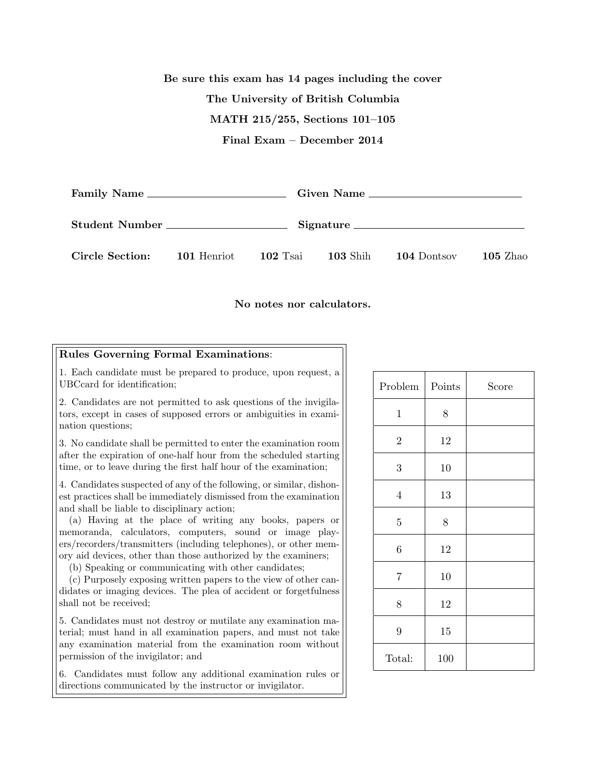## Be sure this exam has 14 pages including the cover The University of British Columbia MATH 215/255, Sections 101–105 Final Exam – December 2014

| Family Name     |             |            | Given Name      |             |                 |  |
|-----------------|-------------|------------|-----------------|-------------|-----------------|--|
| Student Number  |             |            | Signature       |             |                 |  |
| Circle Section: | 101 Henriot | $102$ Tsai | <b>103</b> Shih | 104 Dontsov | <b>105 Zhao</b> |  |

No notes nor calculators.

## Rules Governing Formal Examinations:

1. Each candidate must be prepared to produce, upon request, a UBCcard for identification;

2. Candidates are not permitted to ask questions of the invigilators, except in cases of supposed errors or ambiguities in examination questions;

3. No candidate shall be permitted to enter the examination room after the expiration of one-half hour from the scheduled starting time, or to leave during the first half hour of the examination;

4. Candidates suspected of any of the following, or similar, dishonest practices shall be immediately dismissed from the examination and shall be liable to disciplinary action;

(a) Having at the place of writing any books, papers or memoranda, calculators, computers, sound or image players/recorders/transmitters (including telephones), or other memory aid devices, other than those authorized by the examiners;

(b) Speaking or communicating with other candidates;

(c) Purposely exposing written papers to the view of other candidates or imaging devices. The plea of accident or forgetfulness shall not be received;

5. Candidates must not destroy or mutilate any examination material; must hand in all examination papers, and must not take any examination material from the examination room without permission of the invigilator; and

6. Candidates must follow any additional examination rules or directions communicated by the instructor or invigilator.

| Problem          | Points | Score |
|------------------|--------|-------|
| $\mathbf{1}$     | $8\,$  |       |
| $\overline{2}$   | $12\,$ |       |
| $\sqrt{3}$       | 10     |       |
| $\overline{4}$   | 13     |       |
| $\bf 5$          | 8      |       |
| $\boldsymbol{6}$ | $12\,$ |       |
| $\overline{7}$   | $10\,$ |       |
| 8                | $12\,$ |       |
| $\boldsymbol{9}$ | 15     |       |
| Total:           | 100    |       |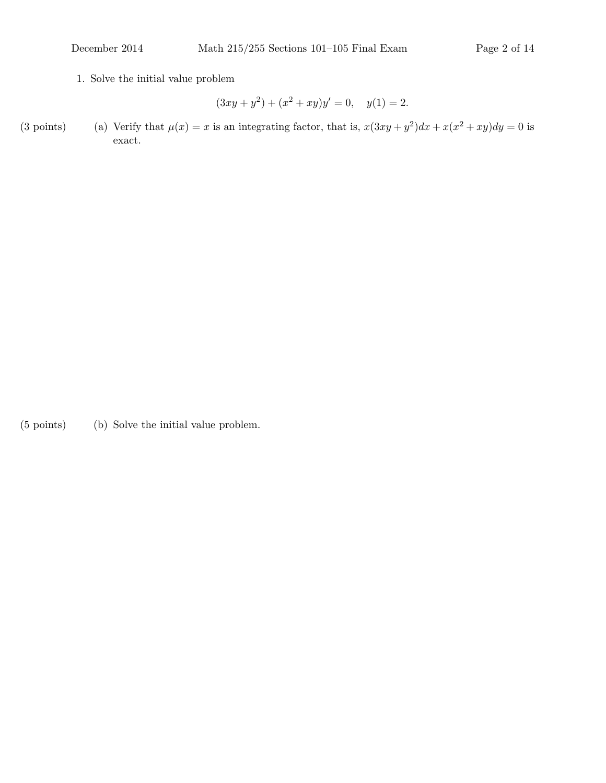1. Solve the initial value problem

$$
(3xy + y2) + (x2 + xy)y' = 0, \quad y(1) = 2.
$$

(3 points) (a) Verify that  $\mu(x) = x$  is an integrating factor, that is,  $x(3xy + y^2)dx + x(x^2 + xy)dy = 0$  is exact.

(5 points) (b) Solve the initial value problem.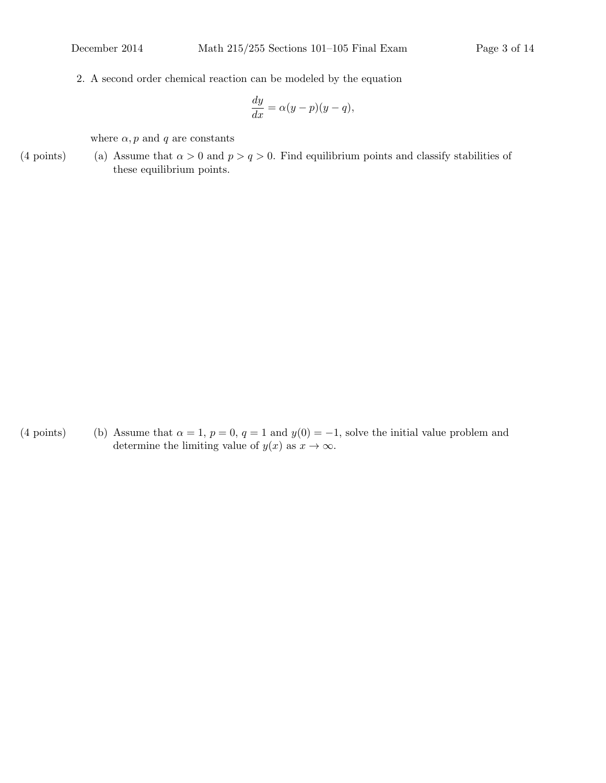2. A second order chemical reaction can be modeled by the equation

$$
\frac{dy}{dx} = \alpha(y - p)(y - q),
$$

where  $\alpha$ , p and q are constants

(4 points) (a) Assume that  $\alpha > 0$  and  $p > q > 0$ . Find equilibrium points and classify stabilities of these equilibrium points.

(4 points) (b) Assume that  $\alpha = 1$ ,  $p = 0$ ,  $q = 1$  and  $y(0) = -1$ , solve the initial value problem and determine the limiting value of  $y(x)$  as  $x \to \infty$ .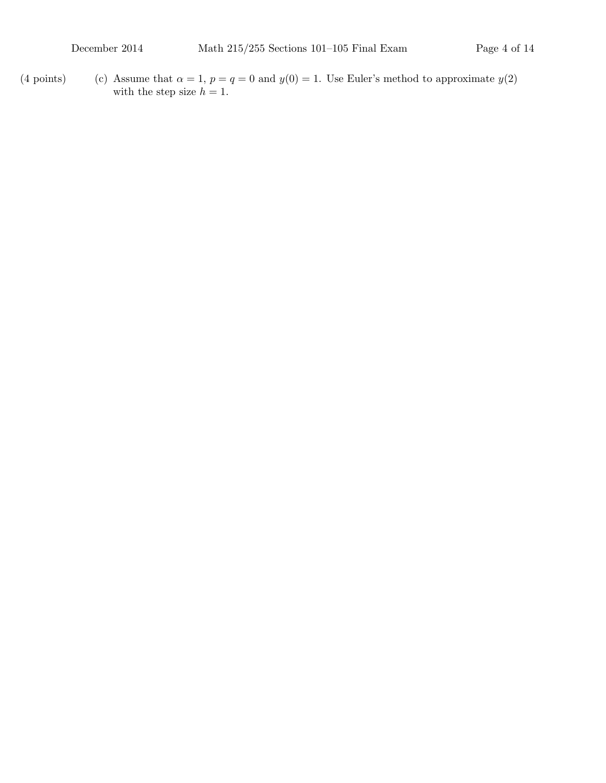- 
- (4 points) (c) Assume that  $\alpha = 1$ ,  $p = q = 0$  and  $y(0) = 1$ . Use Euler's method to approximate  $y(2)$ with the step size  $h = 1$ .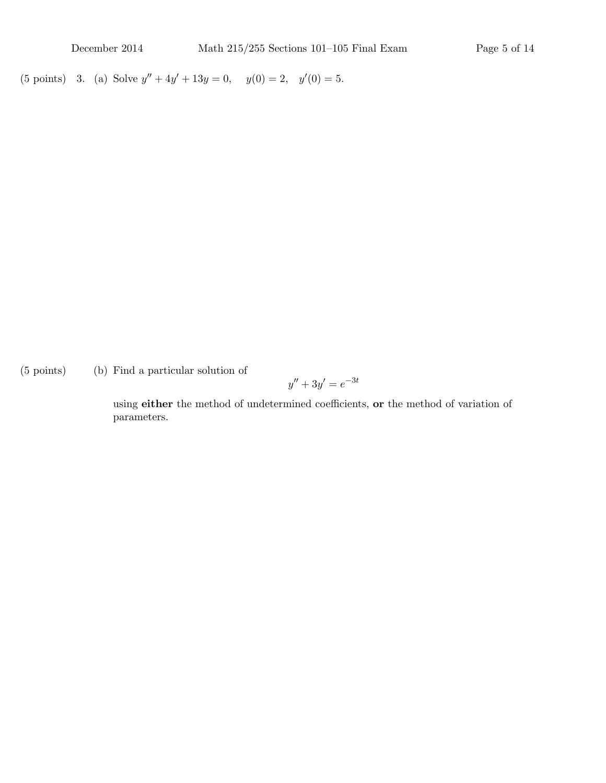(5 points) 3. (a) Solve  $y'' + 4y' + 13y = 0$ ,  $y(0) = 2$ ,  $y'(0) = 5$ .

 $(5 \text{ points})$  (b) Find a particular solution of

$$
y'' + 3y' = e^{-3t}
$$

using either the method of undetermined coefficients, or the method of variation of parameters.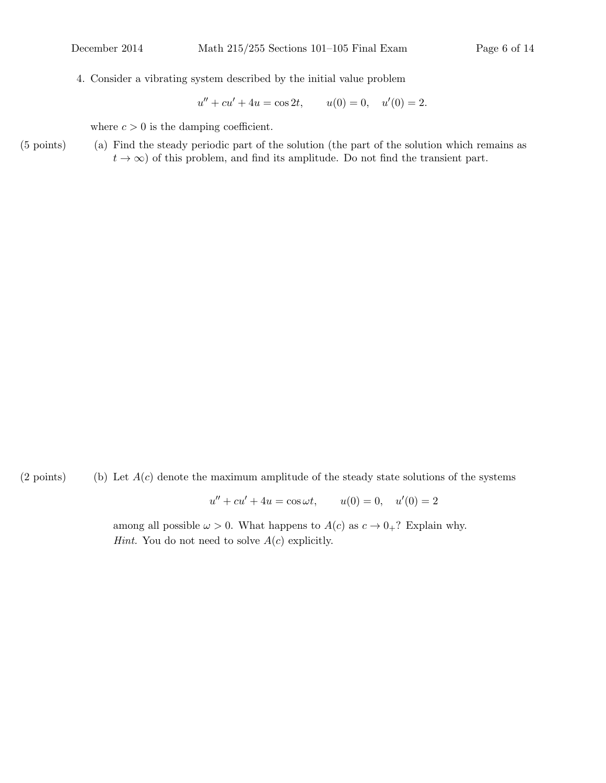4. Consider a vibrating system described by the initial value problem

 $u'' + cu' + 4u = \cos 2t, \qquad u(0) = 0, \quad u'(0) = 2.$ 

where  $c > 0$  is the damping coefficient.

(5 points) Find the steady periodic part of the solution (the part of the solution which remains as (a)  $t \to \infty$ ) of this problem, and find its amplitude. Do not find the transient part.

(2 points) (b) Let  $A(c)$  denote the maximum amplitude of the steady state solutions of the systems

 $u'' + cu' + 4u = \cos \omega t$ ,  $u(0) = 0$ ,  $u'(0) = 2$ 

among all possible  $\omega > 0$ . What happens to  $A(c)$  as  $c \to 0_+$ ? Explain why. *Hint.* You do not need to solve  $A(c)$  explicitly.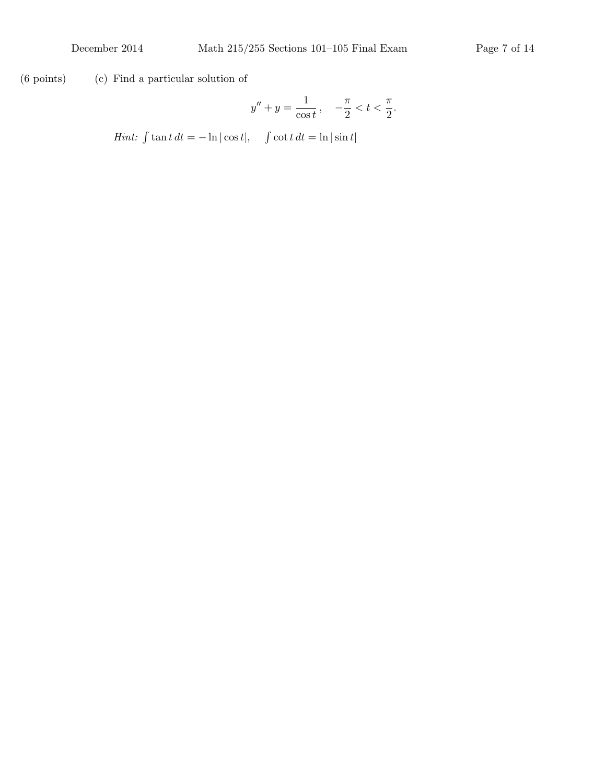$(6 \text{ points})$   $(c)$  Find a particular solution of

$$
y'' + y = \frac{1}{\cos t}, \quad -\frac{\pi}{2} < t < \frac{\pi}{2}.
$$

Hint:  $\int \tan t \, dt = -\ln |\cos t|, \quad \int \cot t \, dt = \ln |\sin t|$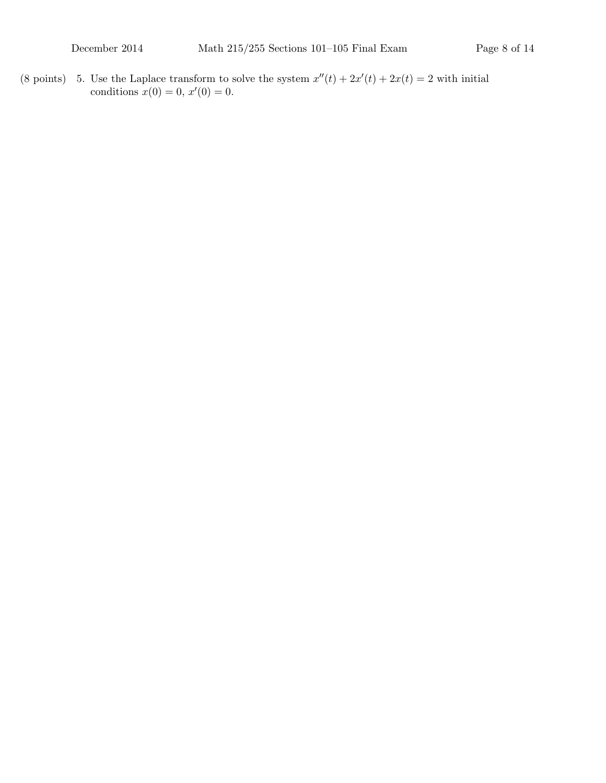(8 points) 5. Use the Laplace transform to solve the system  $x''(t) + 2x'(t) + 2x(t) = 2$  with initial conditions  $x(0) = 0, x'(0) = 0.$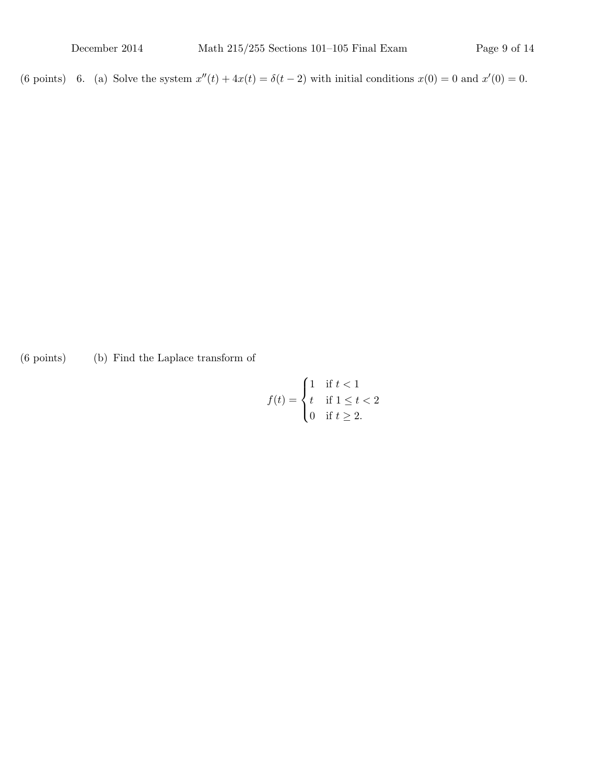(6 points) 6. (a) Solve the system  $x''(t) + 4x(t) = \delta(t-2)$  with initial conditions  $x(0) = 0$  and  $x'(0) = 0$ .

 $(6 \text{ points})$  (b) Find the Laplace transform of

$$
f(t) = \begin{cases} 1 & \text{if } t < 1 \\ t & \text{if } 1 \le t < 2 \\ 0 & \text{if } t \ge 2. \end{cases}
$$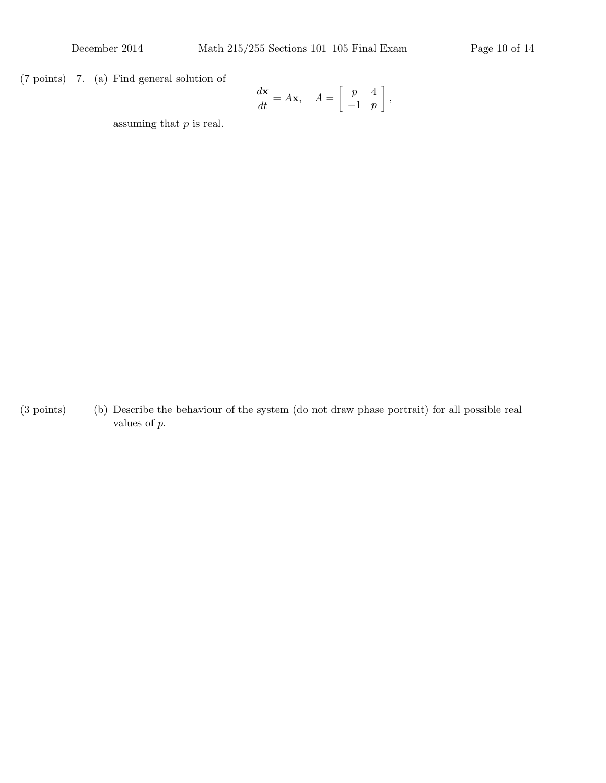$(7 \text{ points})$  7. (a) Find general solution of

$$
\frac{d\mathbf{x}}{dt} = A\mathbf{x}, \quad A = \begin{bmatrix} p & 4 \\ -1 & p \end{bmatrix},
$$

assuming that  $p$  is real.

(3 points) Describe the behaviour of the system (do not draw phase portrait) for all possible real (b) values of p.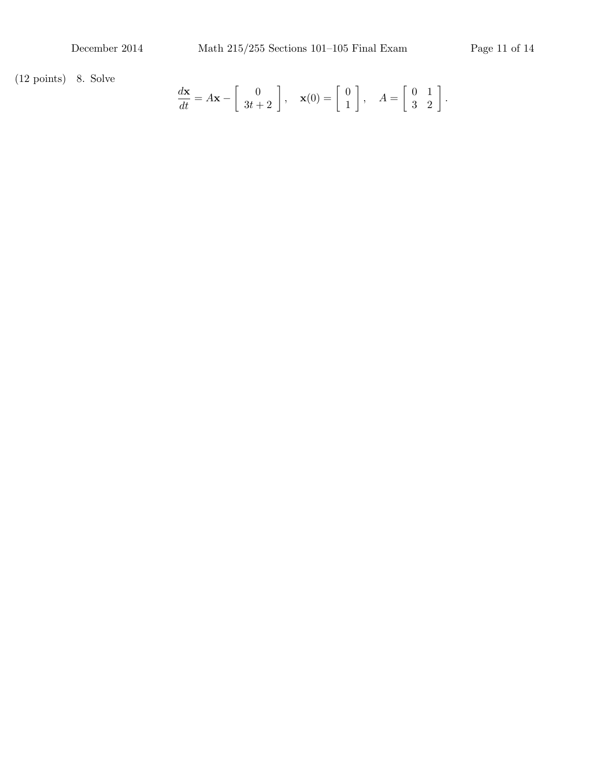$(12 \text{ points})$  8. Solve

$$
\frac{d\mathbf{x}}{dt} = A\mathbf{x} - \begin{bmatrix} 0 \\ 3t + 2 \end{bmatrix}, \quad \mathbf{x}(0) = \begin{bmatrix} 0 \\ 1 \end{bmatrix}, \quad A = \begin{bmatrix} 0 & 1 \\ 3 & 2 \end{bmatrix}.
$$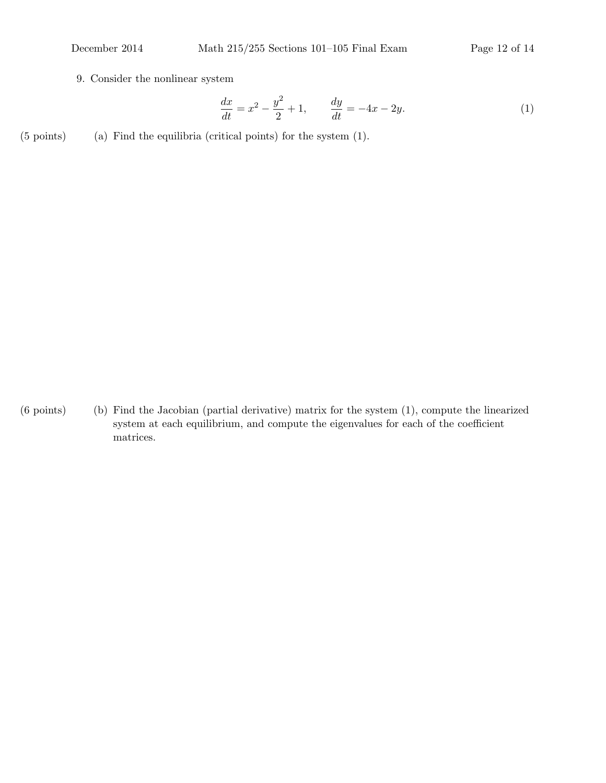9. Consider the nonlinear system

$$
\frac{dx}{dt} = x^2 - \frac{y^2}{2} + 1, \qquad \frac{dy}{dt} = -4x - 2y.
$$
 (1)

 $(5 \text{ points})$  (a) Find the equilibria (critical points) for the system  $(1)$ .

 $(6 \text{ points})$  (b) Find the Jacobian (partial derivative) matrix for the system  $(1)$ , compute the linearized system at each equilibrium, and compute the eigenvalues for each of the coefficient matrices.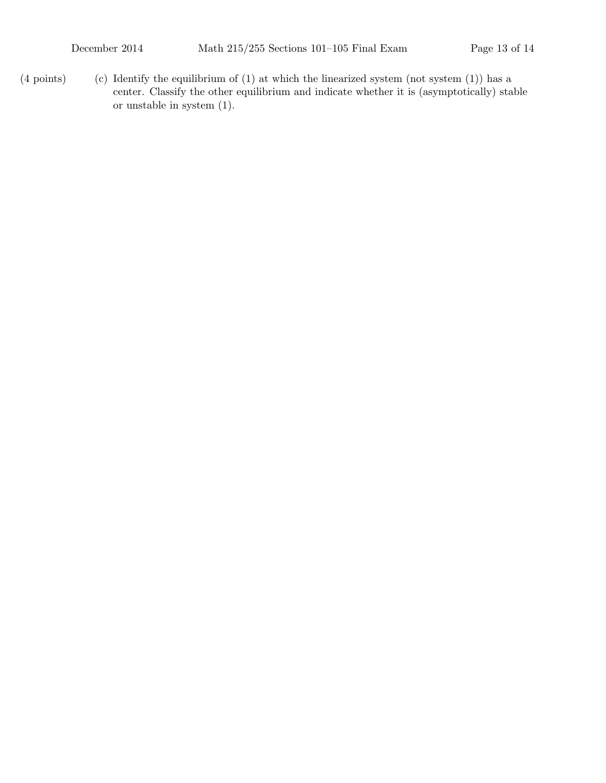(4 points) (c) Identify the equilibrium of (1) at which the linearized system (not system  $(1)$ ) has a center. Classify the other equilibrium and indicate whether it is (asymptotically) stable or unstable in system (1).